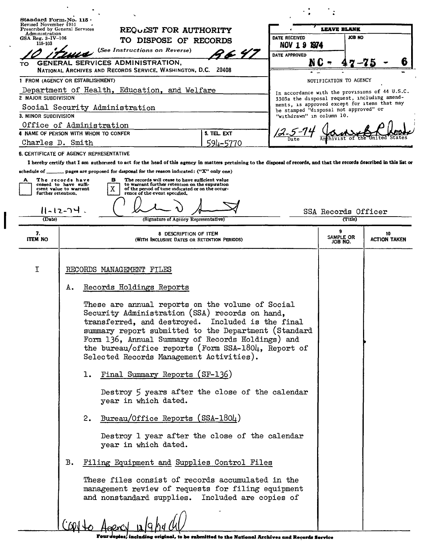| Administration<br>DATE RECEIVED<br><b>JOB NO</b><br>GSA Reg. $3 - IV - 106$<br>TO DISPOSE OF RECORDS<br>115-103<br>NOV 1 9 1974<br>(See Instructions on Reverse)<br>96 4)<br>DATE APPROVED<br>GENERAL SERVICES ADMINISTRATION,<br>TO.<br>NATIONAL ARCHIVES AND RECORDS SERVICE, WASHINGTON, D.C. 20408<br>1 FROM (AGENCY OR ESTABLISHMENT)<br>NOTIFICATION TO AGENCY<br>Department of Health, Education, and Welfare<br>In accordance with the provisions of 44 U.S.C.<br>2 MAJOR SUBDIVISION<br>3303a the disposal request, including amend-<br>ments, is approved except for items that may<br>Social Security Administration<br>be stamped "disposal not approved" or<br>"withdrawn" in column 10.<br>3. MINOR SUBDIVISION<br>Office of Administration<br>4 NAME OF PERSON WITH WHOM TO CONFER<br>5. TEL. EXT<br>Charles D. Smith<br>594-5770<br>6. CERTIFICATE OF AGENCY REPRESENTATIVE<br>I hereby certify that I am authorized to act for the head of this agency in matters pertaining to the disposal of records, and that the records described in this list or<br>schedule of _________ pages are proposed for disposal for the reason indicated: ("X" only one)<br>The records have<br>The records will cease to have sufficient value<br>в<br>A<br>ceased to have suffi-<br>to warrant further retention on the expiration<br>х<br>cient value to warrant<br>of the period of time indicated or on the occur-<br>rence of the event specified.<br>further retention,<br>11-12-74<br>SSA Records Officer<br>(Date)<br>(Title)<br>(Signature of Agency Representative)<br>9<br>7.<br>10<br>8 DESCRIPTION OF ITEM<br>SAMPLE OR<br><b>ITEM NO</b><br><b>ACTION TAKEN</b><br>(WITH INCLUSIVE DATES OR RETENTION PERIODS)<br>JOB NO.<br>Ι<br>RECORDS MANAGEMENT FILES<br>Records Holdings Reports<br>А.<br>These are annual reports on the volume of Social<br>Security Administration (SSA) records on hand,<br>transferred, and destroyed. Included is the final<br>summary report submitted to the Department (Standard<br>Form 136, Annual Summary of Records Holdings) and<br>the bureau/office reports (Form SSA-1804, Report of<br>Selected Records Management Activities).<br>Final Summary Reports (SF-136)<br>ı.<br>Destroy 5 years after the close of the calendar<br>year in which dated.<br>2. Bureau/Office Reports (SSA-1804)<br>Destroy 1 year after the close of the calendar<br>year in which dated.<br><b>B.</b><br>Filing Equipment and Supplies Control Files<br>These files consist of records accumulated in the<br>management review of requests for filing equipment<br>and nonstandard supplies. Included are copies of | Revised November 1951<br>Prescribed by General Services | REQUEST FOR AUTHORITY | <b>LEAVE BLANK</b> |  |  |  |  |
|---------------------------------------------------------------------------------------------------------------------------------------------------------------------------------------------------------------------------------------------------------------------------------------------------------------------------------------------------------------------------------------------------------------------------------------------------------------------------------------------------------------------------------------------------------------------------------------------------------------------------------------------------------------------------------------------------------------------------------------------------------------------------------------------------------------------------------------------------------------------------------------------------------------------------------------------------------------------------------------------------------------------------------------------------------------------------------------------------------------------------------------------------------------------------------------------------------------------------------------------------------------------------------------------------------------------------------------------------------------------------------------------------------------------------------------------------------------------------------------------------------------------------------------------------------------------------------------------------------------------------------------------------------------------------------------------------------------------------------------------------------------------------------------------------------------------------------------------------------------------------------------------------------------------------------------------------------------------------------------------------------------------------------------------------------------------------------------------------------------------------------------------------------------------------------------------------------------------------------------------------------------------------------------------------------------------------------------------------------------------------------------------------------------------------------------------------------------------------------------------------------------------------------------------------------------------------------------------------------------------------------------------------------|---------------------------------------------------------|-----------------------|--------------------|--|--|--|--|
|                                                                                                                                                                                                                                                                                                                                                                                                                                                                                                                                                                                                                                                                                                                                                                                                                                                                                                                                                                                                                                                                                                                                                                                                                                                                                                                                                                                                                                                                                                                                                                                                                                                                                                                                                                                                                                                                                                                                                                                                                                                                                                                                                                                                                                                                                                                                                                                                                                                                                                                                                                                                                                                         |                                                         |                       |                    |  |  |  |  |
|                                                                                                                                                                                                                                                                                                                                                                                                                                                                                                                                                                                                                                                                                                                                                                                                                                                                                                                                                                                                                                                                                                                                                                                                                                                                                                                                                                                                                                                                                                                                                                                                                                                                                                                                                                                                                                                                                                                                                                                                                                                                                                                                                                                                                                                                                                                                                                                                                                                                                                                                                                                                                                                         |                                                         |                       |                    |  |  |  |  |
|                                                                                                                                                                                                                                                                                                                                                                                                                                                                                                                                                                                                                                                                                                                                                                                                                                                                                                                                                                                                                                                                                                                                                                                                                                                                                                                                                                                                                                                                                                                                                                                                                                                                                                                                                                                                                                                                                                                                                                                                                                                                                                                                                                                                                                                                                                                                                                                                                                                                                                                                                                                                                                                         |                                                         |                       |                    |  |  |  |  |
|                                                                                                                                                                                                                                                                                                                                                                                                                                                                                                                                                                                                                                                                                                                                                                                                                                                                                                                                                                                                                                                                                                                                                                                                                                                                                                                                                                                                                                                                                                                                                                                                                                                                                                                                                                                                                                                                                                                                                                                                                                                                                                                                                                                                                                                                                                                                                                                                                                                                                                                                                                                                                                                         |                                                         |                       |                    |  |  |  |  |
|                                                                                                                                                                                                                                                                                                                                                                                                                                                                                                                                                                                                                                                                                                                                                                                                                                                                                                                                                                                                                                                                                                                                                                                                                                                                                                                                                                                                                                                                                                                                                                                                                                                                                                                                                                                                                                                                                                                                                                                                                                                                                                                                                                                                                                                                                                                                                                                                                                                                                                                                                                                                                                                         |                                                         |                       |                    |  |  |  |  |
|                                                                                                                                                                                                                                                                                                                                                                                                                                                                                                                                                                                                                                                                                                                                                                                                                                                                                                                                                                                                                                                                                                                                                                                                                                                                                                                                                                                                                                                                                                                                                                                                                                                                                                                                                                                                                                                                                                                                                                                                                                                                                                                                                                                                                                                                                                                                                                                                                                                                                                                                                                                                                                                         |                                                         |                       |                    |  |  |  |  |
|                                                                                                                                                                                                                                                                                                                                                                                                                                                                                                                                                                                                                                                                                                                                                                                                                                                                                                                                                                                                                                                                                                                                                                                                                                                                                                                                                                                                                                                                                                                                                                                                                                                                                                                                                                                                                                                                                                                                                                                                                                                                                                                                                                                                                                                                                                                                                                                                                                                                                                                                                                                                                                                         |                                                         |                       |                    |  |  |  |  |
|                                                                                                                                                                                                                                                                                                                                                                                                                                                                                                                                                                                                                                                                                                                                                                                                                                                                                                                                                                                                                                                                                                                                                                                                                                                                                                                                                                                                                                                                                                                                                                                                                                                                                                                                                                                                                                                                                                                                                                                                                                                                                                                                                                                                                                                                                                                                                                                                                                                                                                                                                                                                                                                         |                                                         |                       |                    |  |  |  |  |
|                                                                                                                                                                                                                                                                                                                                                                                                                                                                                                                                                                                                                                                                                                                                                                                                                                                                                                                                                                                                                                                                                                                                                                                                                                                                                                                                                                                                                                                                                                                                                                                                                                                                                                                                                                                                                                                                                                                                                                                                                                                                                                                                                                                                                                                                                                                                                                                                                                                                                                                                                                                                                                                         |                                                         |                       |                    |  |  |  |  |
|                                                                                                                                                                                                                                                                                                                                                                                                                                                                                                                                                                                                                                                                                                                                                                                                                                                                                                                                                                                                                                                                                                                                                                                                                                                                                                                                                                                                                                                                                                                                                                                                                                                                                                                                                                                                                                                                                                                                                                                                                                                                                                                                                                                                                                                                                                                                                                                                                                                                                                                                                                                                                                                         |                                                         |                       |                    |  |  |  |  |
|                                                                                                                                                                                                                                                                                                                                                                                                                                                                                                                                                                                                                                                                                                                                                                                                                                                                                                                                                                                                                                                                                                                                                                                                                                                                                                                                                                                                                                                                                                                                                                                                                                                                                                                                                                                                                                                                                                                                                                                                                                                                                                                                                                                                                                                                                                                                                                                                                                                                                                                                                                                                                                                         |                                                         |                       |                    |  |  |  |  |
|                                                                                                                                                                                                                                                                                                                                                                                                                                                                                                                                                                                                                                                                                                                                                                                                                                                                                                                                                                                                                                                                                                                                                                                                                                                                                                                                                                                                                                                                                                                                                                                                                                                                                                                                                                                                                                                                                                                                                                                                                                                                                                                                                                                                                                                                                                                                                                                                                                                                                                                                                                                                                                                         |                                                         |                       |                    |  |  |  |  |
|                                                                                                                                                                                                                                                                                                                                                                                                                                                                                                                                                                                                                                                                                                                                                                                                                                                                                                                                                                                                                                                                                                                                                                                                                                                                                                                                                                                                                                                                                                                                                                                                                                                                                                                                                                                                                                                                                                                                                                                                                                                                                                                                                                                                                                                                                                                                                                                                                                                                                                                                                                                                                                                         |                                                         |                       |                    |  |  |  |  |
|                                                                                                                                                                                                                                                                                                                                                                                                                                                                                                                                                                                                                                                                                                                                                                                                                                                                                                                                                                                                                                                                                                                                                                                                                                                                                                                                                                                                                                                                                                                                                                                                                                                                                                                                                                                                                                                                                                                                                                                                                                                                                                                                                                                                                                                                                                                                                                                                                                                                                                                                                                                                                                                         |                                                         |                       |                    |  |  |  |  |
|                                                                                                                                                                                                                                                                                                                                                                                                                                                                                                                                                                                                                                                                                                                                                                                                                                                                                                                                                                                                                                                                                                                                                                                                                                                                                                                                                                                                                                                                                                                                                                                                                                                                                                                                                                                                                                                                                                                                                                                                                                                                                                                                                                                                                                                                                                                                                                                                                                                                                                                                                                                                                                                         |                                                         |                       |                    |  |  |  |  |
|                                                                                                                                                                                                                                                                                                                                                                                                                                                                                                                                                                                                                                                                                                                                                                                                                                                                                                                                                                                                                                                                                                                                                                                                                                                                                                                                                                                                                                                                                                                                                                                                                                                                                                                                                                                                                                                                                                                                                                                                                                                                                                                                                                                                                                                                                                                                                                                                                                                                                                                                                                                                                                                         |                                                         |                       |                    |  |  |  |  |
|                                                                                                                                                                                                                                                                                                                                                                                                                                                                                                                                                                                                                                                                                                                                                                                                                                                                                                                                                                                                                                                                                                                                                                                                                                                                                                                                                                                                                                                                                                                                                                                                                                                                                                                                                                                                                                                                                                                                                                                                                                                                                                                                                                                                                                                                                                                                                                                                                                                                                                                                                                                                                                                         |                                                         |                       |                    |  |  |  |  |
|                                                                                                                                                                                                                                                                                                                                                                                                                                                                                                                                                                                                                                                                                                                                                                                                                                                                                                                                                                                                                                                                                                                                                                                                                                                                                                                                                                                                                                                                                                                                                                                                                                                                                                                                                                                                                                                                                                                                                                                                                                                                                                                                                                                                                                                                                                                                                                                                                                                                                                                                                                                                                                                         |                                                         |                       |                    |  |  |  |  |
|                                                                                                                                                                                                                                                                                                                                                                                                                                                                                                                                                                                                                                                                                                                                                                                                                                                                                                                                                                                                                                                                                                                                                                                                                                                                                                                                                                                                                                                                                                                                                                                                                                                                                                                                                                                                                                                                                                                                                                                                                                                                                                                                                                                                                                                                                                                                                                                                                                                                                                                                                                                                                                                         |                                                         |                       |                    |  |  |  |  |
|                                                                                                                                                                                                                                                                                                                                                                                                                                                                                                                                                                                                                                                                                                                                                                                                                                                                                                                                                                                                                                                                                                                                                                                                                                                                                                                                                                                                                                                                                                                                                                                                                                                                                                                                                                                                                                                                                                                                                                                                                                                                                                                                                                                                                                                                                                                                                                                                                                                                                                                                                                                                                                                         |                                                         |                       |                    |  |  |  |  |
|                                                                                                                                                                                                                                                                                                                                                                                                                                                                                                                                                                                                                                                                                                                                                                                                                                                                                                                                                                                                                                                                                                                                                                                                                                                                                                                                                                                                                                                                                                                                                                                                                                                                                                                                                                                                                                                                                                                                                                                                                                                                                                                                                                                                                                                                                                                                                                                                                                                                                                                                                                                                                                                         |                                                         |                       |                    |  |  |  |  |
|                                                                                                                                                                                                                                                                                                                                                                                                                                                                                                                                                                                                                                                                                                                                                                                                                                                                                                                                                                                                                                                                                                                                                                                                                                                                                                                                                                                                                                                                                                                                                                                                                                                                                                                                                                                                                                                                                                                                                                                                                                                                                                                                                                                                                                                                                                                                                                                                                                                                                                                                                                                                                                                         |                                                         |                       |                    |  |  |  |  |
|                                                                                                                                                                                                                                                                                                                                                                                                                                                                                                                                                                                                                                                                                                                                                                                                                                                                                                                                                                                                                                                                                                                                                                                                                                                                                                                                                                                                                                                                                                                                                                                                                                                                                                                                                                                                                                                                                                                                                                                                                                                                                                                                                                                                                                                                                                                                                                                                                                                                                                                                                                                                                                                         |                                                         |                       |                    |  |  |  |  |
|                                                                                                                                                                                                                                                                                                                                                                                                                                                                                                                                                                                                                                                                                                                                                                                                                                                                                                                                                                                                                                                                                                                                                                                                                                                                                                                                                                                                                                                                                                                                                                                                                                                                                                                                                                                                                                                                                                                                                                                                                                                                                                                                                                                                                                                                                                                                                                                                                                                                                                                                                                                                                                                         |                                                         |                       |                    |  |  |  |  |
|                                                                                                                                                                                                                                                                                                                                                                                                                                                                                                                                                                                                                                                                                                                                                                                                                                                                                                                                                                                                                                                                                                                                                                                                                                                                                                                                                                                                                                                                                                                                                                                                                                                                                                                                                                                                                                                                                                                                                                                                                                                                                                                                                                                                                                                                                                                                                                                                                                                                                                                                                                                                                                                         |                                                         |                       |                    |  |  |  |  |
|                                                                                                                                                                                                                                                                                                                                                                                                                                                                                                                                                                                                                                                                                                                                                                                                                                                                                                                                                                                                                                                                                                                                                                                                                                                                                                                                                                                                                                                                                                                                                                                                                                                                                                                                                                                                                                                                                                                                                                                                                                                                                                                                                                                                                                                                                                                                                                                                                                                                                                                                                                                                                                                         |                                                         |                       |                    |  |  |  |  |
|                                                                                                                                                                                                                                                                                                                                                                                                                                                                                                                                                                                                                                                                                                                                                                                                                                                                                                                                                                                                                                                                                                                                                                                                                                                                                                                                                                                                                                                                                                                                                                                                                                                                                                                                                                                                                                                                                                                                                                                                                                                                                                                                                                                                                                                                                                                                                                                                                                                                                                                                                                                                                                                         |                                                         |                       |                    |  |  |  |  |
|                                                                                                                                                                                                                                                                                                                                                                                                                                                                                                                                                                                                                                                                                                                                                                                                                                                                                                                                                                                                                                                                                                                                                                                                                                                                                                                                                                                                                                                                                                                                                                                                                                                                                                                                                                                                                                                                                                                                                                                                                                                                                                                                                                                                                                                                                                                                                                                                                                                                                                                                                                                                                                                         |                                                         |                       |                    |  |  |  |  |
|                                                                                                                                                                                                                                                                                                                                                                                                                                                                                                                                                                                                                                                                                                                                                                                                                                                                                                                                                                                                                                                                                                                                                                                                                                                                                                                                                                                                                                                                                                                                                                                                                                                                                                                                                                                                                                                                                                                                                                                                                                                                                                                                                                                                                                                                                                                                                                                                                                                                                                                                                                                                                                                         |                                                         |                       |                    |  |  |  |  |
|                                                                                                                                                                                                                                                                                                                                                                                                                                                                                                                                                                                                                                                                                                                                                                                                                                                                                                                                                                                                                                                                                                                                                                                                                                                                                                                                                                                                                                                                                                                                                                                                                                                                                                                                                                                                                                                                                                                                                                                                                                                                                                                                                                                                                                                                                                                                                                                                                                                                                                                                                                                                                                                         |                                                         |                       |                    |  |  |  |  |
|                                                                                                                                                                                                                                                                                                                                                                                                                                                                                                                                                                                                                                                                                                                                                                                                                                                                                                                                                                                                                                                                                                                                                                                                                                                                                                                                                                                                                                                                                                                                                                                                                                                                                                                                                                                                                                                                                                                                                                                                                                                                                                                                                                                                                                                                                                                                                                                                                                                                                                                                                                                                                                                         |                                                         |                       |                    |  |  |  |  |
|                                                                                                                                                                                                                                                                                                                                                                                                                                                                                                                                                                                                                                                                                                                                                                                                                                                                                                                                                                                                                                                                                                                                                                                                                                                                                                                                                                                                                                                                                                                                                                                                                                                                                                                                                                                                                                                                                                                                                                                                                                                                                                                                                                                                                                                                                                                                                                                                                                                                                                                                                                                                                                                         |                                                         |                       |                    |  |  |  |  |
|                                                                                                                                                                                                                                                                                                                                                                                                                                                                                                                                                                                                                                                                                                                                                                                                                                                                                                                                                                                                                                                                                                                                                                                                                                                                                                                                                                                                                                                                                                                                                                                                                                                                                                                                                                                                                                                                                                                                                                                                                                                                                                                                                                                                                                                                                                                                                                                                                                                                                                                                                                                                                                                         |                                                         |                       |                    |  |  |  |  |
|                                                                                                                                                                                                                                                                                                                                                                                                                                                                                                                                                                                                                                                                                                                                                                                                                                                                                                                                                                                                                                                                                                                                                                                                                                                                                                                                                                                                                                                                                                                                                                                                                                                                                                                                                                                                                                                                                                                                                                                                                                                                                                                                                                                                                                                                                                                                                                                                                                                                                                                                                                                                                                                         |                                                         |                       |                    |  |  |  |  |
|                                                                                                                                                                                                                                                                                                                                                                                                                                                                                                                                                                                                                                                                                                                                                                                                                                                                                                                                                                                                                                                                                                                                                                                                                                                                                                                                                                                                                                                                                                                                                                                                                                                                                                                                                                                                                                                                                                                                                                                                                                                                                                                                                                                                                                                                                                                                                                                                                                                                                                                                                                                                                                                         |                                                         |                       |                    |  |  |  |  |
|                                                                                                                                                                                                                                                                                                                                                                                                                                                                                                                                                                                                                                                                                                                                                                                                                                                                                                                                                                                                                                                                                                                                                                                                                                                                                                                                                                                                                                                                                                                                                                                                                                                                                                                                                                                                                                                                                                                                                                                                                                                                                                                                                                                                                                                                                                                                                                                                                                                                                                                                                                                                                                                         |                                                         |                       |                    |  |  |  |  |
|                                                                                                                                                                                                                                                                                                                                                                                                                                                                                                                                                                                                                                                                                                                                                                                                                                                                                                                                                                                                                                                                                                                                                                                                                                                                                                                                                                                                                                                                                                                                                                                                                                                                                                                                                                                                                                                                                                                                                                                                                                                                                                                                                                                                                                                                                                                                                                                                                                                                                                                                                                                                                                                         |                                                         |                       |                    |  |  |  |  |
|                                                                                                                                                                                                                                                                                                                                                                                                                                                                                                                                                                                                                                                                                                                                                                                                                                                                                                                                                                                                                                                                                                                                                                                                                                                                                                                                                                                                                                                                                                                                                                                                                                                                                                                                                                                                                                                                                                                                                                                                                                                                                                                                                                                                                                                                                                                                                                                                                                                                                                                                                                                                                                                         |                                                         |                       |                    |  |  |  |  |
|                                                                                                                                                                                                                                                                                                                                                                                                                                                                                                                                                                                                                                                                                                                                                                                                                                                                                                                                                                                                                                                                                                                                                                                                                                                                                                                                                                                                                                                                                                                                                                                                                                                                                                                                                                                                                                                                                                                                                                                                                                                                                                                                                                                                                                                                                                                                                                                                                                                                                                                                                                                                                                                         |                                                         |                       |                    |  |  |  |  |
|                                                                                                                                                                                                                                                                                                                                                                                                                                                                                                                                                                                                                                                                                                                                                                                                                                                                                                                                                                                                                                                                                                                                                                                                                                                                                                                                                                                                                                                                                                                                                                                                                                                                                                                                                                                                                                                                                                                                                                                                                                                                                                                                                                                                                                                                                                                                                                                                                                                                                                                                                                                                                                                         |                                                         |                       |                    |  |  |  |  |
|                                                                                                                                                                                                                                                                                                                                                                                                                                                                                                                                                                                                                                                                                                                                                                                                                                                                                                                                                                                                                                                                                                                                                                                                                                                                                                                                                                                                                                                                                                                                                                                                                                                                                                                                                                                                                                                                                                                                                                                                                                                                                                                                                                                                                                                                                                                                                                                                                                                                                                                                                                                                                                                         |                                                         |                       |                    |  |  |  |  |
|                                                                                                                                                                                                                                                                                                                                                                                                                                                                                                                                                                                                                                                                                                                                                                                                                                                                                                                                                                                                                                                                                                                                                                                                                                                                                                                                                                                                                                                                                                                                                                                                                                                                                                                                                                                                                                                                                                                                                                                                                                                                                                                                                                                                                                                                                                                                                                                                                                                                                                                                                                                                                                                         |                                                         |                       |                    |  |  |  |  |
|                                                                                                                                                                                                                                                                                                                                                                                                                                                                                                                                                                                                                                                                                                                                                                                                                                                                                                                                                                                                                                                                                                                                                                                                                                                                                                                                                                                                                                                                                                                                                                                                                                                                                                                                                                                                                                                                                                                                                                                                                                                                                                                                                                                                                                                                                                                                                                                                                                                                                                                                                                                                                                                         |                                                         |                       |                    |  |  |  |  |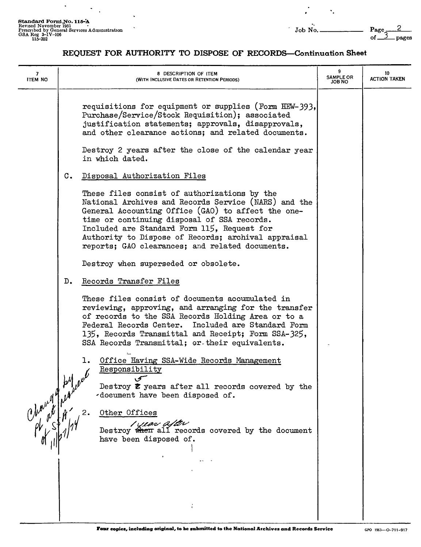$\ddot{\phantom{a}}$  $\ddot{\phantom{a}}$ 

 $\ddot{\phantom{a}}$ 

 $\ddot{\phantom{1}}$ 

 $\ddot{\cdot}$ 

"

## REQUEST FOR AUTHORITY TO DISPOSE OF RECORDS-Continuation Sheet

| 7<br><b>ITEM NO</b> |                | 8 DESCRIPTION OF ITEM<br>(WITH INCLUSIVE DATES OR RETENTION PERIODS)                                                                                                                                                                                                                                                                                               | 9<br><b>SAMPLE OR</b><br>JOB NO | 10<br><b>ACTION TAKEN</b> |
|---------------------|----------------|--------------------------------------------------------------------------------------------------------------------------------------------------------------------------------------------------------------------------------------------------------------------------------------------------------------------------------------------------------------------|---------------------------------|---------------------------|
|                     |                | requisitions for equipment or supplies (Form HEW-393,<br>Purchase/Service/Stock Requisition); associated<br>justification statements; approvals, disapprovals,<br>and other clearance actions; and related documents.                                                                                                                                              |                                 |                           |
|                     |                | Destroy 2 years after the close of the calendar year<br>in which dated.                                                                                                                                                                                                                                                                                            |                                 |                           |
|                     | $\mathbf{c}$ . | Disposal Authorization Files                                                                                                                                                                                                                                                                                                                                       |                                 |                           |
|                     |                | These files consist of authorizations by the<br>National Archives and Records Service (NARS) and the<br>General Accounting Office (GAO) to affect the one-<br>time or continuing disposal of SSA records.<br>Included are Standard Form 115, Request for<br>Authority to Dispose of Records; archival appraisal<br>reports; GAO clearances; and related documents. |                                 |                           |
|                     |                | Destroy when superseded or obsolete.                                                                                                                                                                                                                                                                                                                               |                                 |                           |
|                     | D.             | Records Transfer Files                                                                                                                                                                                                                                                                                                                                             |                                 |                           |
|                     |                | These files consist of documents accumulated in<br>reviewing, approving, and arranging for the transfer<br>of records to the SSA Records Holding Area or to a<br>Federal Records Center. Included are Standard Form<br>135, Records Transmittal and Receipt; Form SSA-325,<br>SSA Records Transmittal; or their equivalents.                                       |                                 |                           |
|                     |                | Office Having SSA-Wide Records Management<br>ı.<br>Responsibility<br>Destroy $\bar{z}$ years after all records covered by the<br>-document have been disposed of.                                                                                                                                                                                                  |                                 |                           |
|                     |                | Other Offices<br>$\frac{1}{\sqrt{2\pi}}$ )<br>Destroy when all records covered by the document<br>have been disposed of.                                                                                                                                                                                                                                           |                                 |                           |
|                     |                |                                                                                                                                                                                                                                                                                                                                                                    |                                 |                           |
|                     |                |                                                                                                                                                                                                                                                                                                                                                                    |                                 |                           |